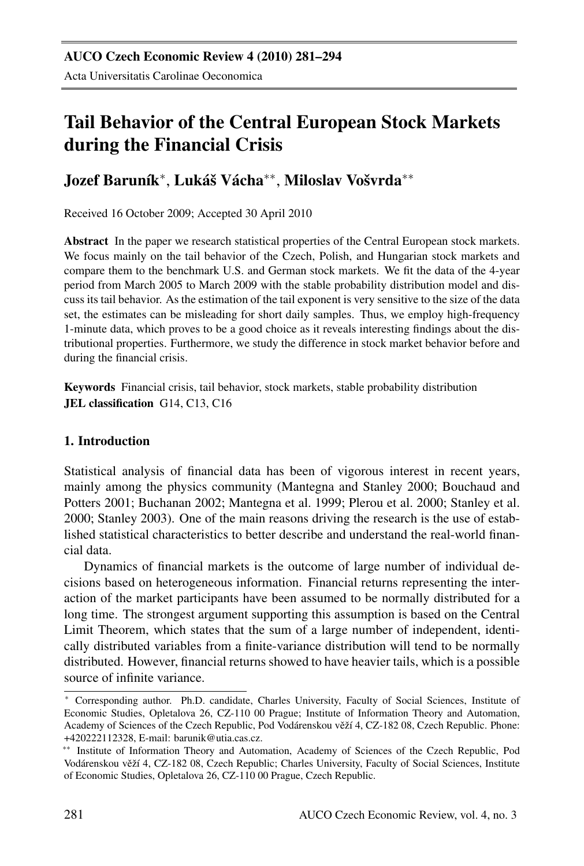# Tail Behavior of the Central European Stock Markets during the Financial Crisis

## Jozef Baruník\*, Lukáš Vácha\*\*, Miloslav Vošvrda\*\*

Received 16 October 2009; Accepted 30 April 2010

Abstract In the paper we research statistical properties of the Central European stock markets. We focus mainly on the tail behavior of the Czech, Polish, and Hungarian stock markets and compare them to the benchmark U.S. and German stock markets. We fit the data of the 4-year period from March 2005 to March 2009 with the stable probability distribution model and discuss its tail behavior. As the estimation of the tail exponent is very sensitive to the size of the data set, the estimates can be misleading for short daily samples. Thus, we employ high-frequency 1-minute data, which proves to be a good choice as it reveals interesting findings about the distributional properties. Furthermore, we study the difference in stock market behavior before and during the financial crisis.

Keywords Financial crisis, tail behavior, stock markets, stable probability distribution JEL classification G14, C13, C16

## 1. Introduction

Statistical analysis of financial data has been of vigorous interest in recent years, mainly among the physics community (Mantegna and Stanley 2000; Bouchaud and Potters 2001; Buchanan 2002; Mantegna et al. 1999; Plerou et al. 2000; Stanley et al. 2000; Stanley 2003). One of the main reasons driving the research is the use of established statistical characteristics to better describe and understand the real-world financial data.

Dynamics of financial markets is the outcome of large number of individual decisions based on heterogeneous information. Financial returns representing the interaction of the market participants have been assumed to be normally distributed for a long time. The strongest argument supporting this assumption is based on the Central Limit Theorem, which states that the sum of a large number of independent, identically distributed variables from a finite-variance distribution will tend to be normally distributed. However, financial returns showed to have heavier tails, which is a possible source of infinite variance.

<sup>∗</sup> Corresponding author. Ph.D. candidate, Charles University, Faculty of Social Sciences, Institute of Economic Studies, Opletalova 26, CZ-110 00 Prague; Institute of Information Theory and Automation, Academy of Sciences of the Czech Republic, Pod Vodárenskou věží 4, CZ-182 08, Czech Republic. Phone: +420222112328, E-mail: barunik@utia.cas.cz.

<sup>∗∗</sup> Institute of Information Theory and Automation, Academy of Sciences of the Czech Republic, Pod Vodárenskou věží 4, CZ-182 08, Czech Republic; Charles University, Faculty of Social Sciences, Institute of Economic Studies, Opletalova 26, CZ-110 00 Prague, Czech Republic.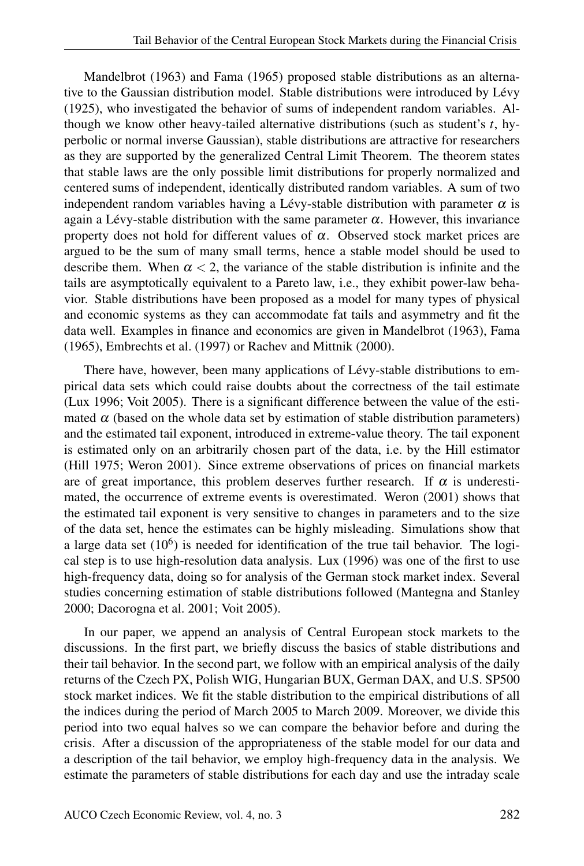Mandelbrot (1963) and Fama (1965) proposed stable distributions as an alternative to the Gaussian distribution model. Stable distributions were introduced by Lévy (1925), who investigated the behavior of sums of independent random variables. Although we know other heavy-tailed alternative distributions (such as student's *t*, hyperbolic or normal inverse Gaussian), stable distributions are attractive for researchers as they are supported by the generalized Central Limit Theorem. The theorem states that stable laws are the only possible limit distributions for properly normalized and centered sums of independent, identically distributed random variables. A sum of two independent random variables having a Lévy-stable distribution with parameter  $\alpha$  is again a Lévy-stable distribution with the same parameter  $\alpha$ . However, this invariance property does not hold for different values of  $\alpha$ . Observed stock market prices are argued to be the sum of many small terms, hence a stable model should be used to describe them. When  $\alpha < 2$ , the variance of the stable distribution is infinite and the tails are asymptotically equivalent to a Pareto law, i.e., they exhibit power-law behavior. Stable distributions have been proposed as a model for many types of physical and economic systems as they can accommodate fat tails and asymmetry and fit the data well. Examples in finance and economics are given in Mandelbrot (1963), Fama (1965), Embrechts et al. (1997) or Rachev and Mittnik (2000).

There have, however, been many applications of Lévy-stable distributions to empirical data sets which could raise doubts about the correctness of the tail estimate (Lux 1996; Voit 2005). There is a significant difference between the value of the estimated  $\alpha$  (based on the whole data set by estimation of stable distribution parameters) and the estimated tail exponent, introduced in extreme-value theory. The tail exponent is estimated only on an arbitrarily chosen part of the data, i.e. by the Hill estimator (Hill 1975; Weron 2001). Since extreme observations of prices on financial markets are of great importance, this problem deserves further research. If  $\alpha$  is underestimated, the occurrence of extreme events is overestimated. Weron (2001) shows that the estimated tail exponent is very sensitive to changes in parameters and to the size of the data set, hence the estimates can be highly misleading. Simulations show that a large data set  $(10^6)$  is needed for identification of the true tail behavior. The logical step is to use high-resolution data analysis. Lux (1996) was one of the first to use high-frequency data, doing so for analysis of the German stock market index. Several studies concerning estimation of stable distributions followed (Mantegna and Stanley 2000; Dacorogna et al. 2001; Voit 2005).

In our paper, we append an analysis of Central European stock markets to the discussions. In the first part, we briefly discuss the basics of stable distributions and their tail behavior. In the second part, we follow with an empirical analysis of the daily returns of the Czech PX, Polish WIG, Hungarian BUX, German DAX, and U.S. SP500 stock market indices. We fit the stable distribution to the empirical distributions of all the indices during the period of March 2005 to March 2009. Moreover, we divide this period into two equal halves so we can compare the behavior before and during the crisis. After a discussion of the appropriateness of the stable model for our data and a description of the tail behavior, we employ high-frequency data in the analysis. We estimate the parameters of stable distributions for each day and use the intraday scale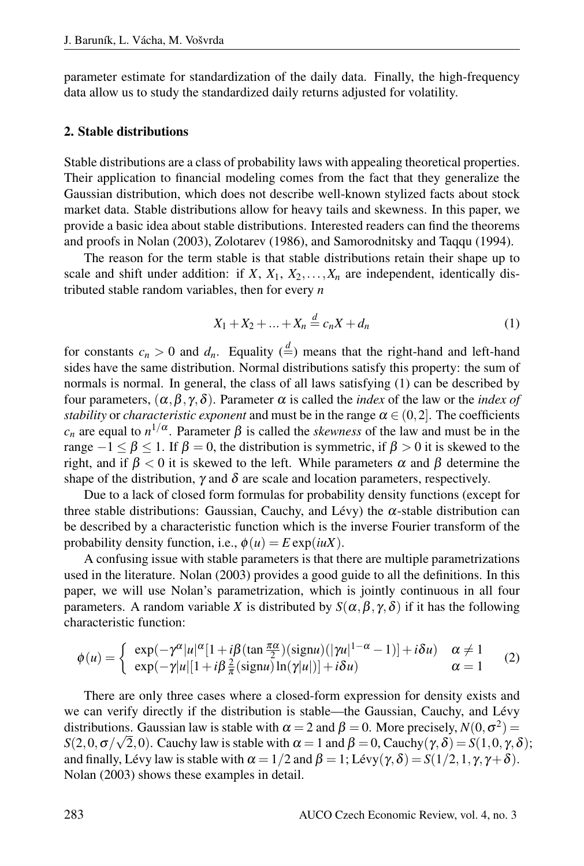parameter estimate for standardization of the daily data. Finally, the high-frequency data allow us to study the standardized daily returns adjusted for volatility.

#### 2. Stable distributions

Stable distributions are a class of probability laws with appealing theoretical properties. Their application to financial modeling comes from the fact that they generalize the Gaussian distribution, which does not describe well-known stylized facts about stock market data. Stable distributions allow for heavy tails and skewness. In this paper, we provide a basic idea about stable distributions. Interested readers can find the theorems and proofs in Nolan (2003), Zolotarev (1986), and Samorodnitsky and Taqqu (1994).

The reason for the term stable is that stable distributions retain their shape up to scale and shift under addition: if  $X$ ,  $X_1$ ,  $X_2$ ,..., $X_n$  are independent, identically distributed stable random variables, then for every *n*

$$
X_1 + X_2 + \dots + X_n \stackrel{d}{=} c_n X + d_n \tag{1}
$$

for constants  $c_n > 0$  and  $d_n$ . Equality  $\left(\frac{d}{dx}\right)$  means that the right-hand and left-hand sides have the same distribution. Normal distributions satisfy this property: the sum of normals is normal. In general, the class of all laws satisfying (1) can be described by four parameters, (α,β, γ,δ). Parameter α is called the *index* of the law or the *index of stability* or *characteristic exponent* and must be in the range  $\alpha \in (0,2]$ . The coefficients *c<sub>n</sub>* are equal to  $n^{1/\alpha}$ . Parameter  $\beta$  is called the *skewness* of the law and must be in the range  $-1 \le \beta \le 1$ . If  $\beta = 0$ , the distribution is symmetric, if  $\beta > 0$  it is skewed to the right, and if β < 0 it is skewed to the left. While parameters α and β determine the shape of the distribution,  $\gamma$  and  $\delta$  are scale and location parameters, respectively.

Due to a lack of closed form formulas for probability density functions (except for three stable distributions: Gaussian, Cauchy, and Lévy) the  $\alpha$ -stable distribution can be described by a characteristic function which is the inverse Fourier transform of the probability density function, i.e.,  $\phi(u) = E \exp(iuX)$ .

A confusing issue with stable parameters is that there are multiple parametrizations used in the literature. Nolan (2003) provides a good guide to all the definitions. In this paper, we will use Nolan's parametrization, which is jointly continuous in all four parameters. A random variable *X* is distributed by  $S(\alpha, \beta, \gamma, \delta)$  if it has the following characteristic function:

$$
\phi(u) = \begin{cases} \exp(-\gamma^{\alpha}|u|^{\alpha}[1+i\beta(\tan\frac{\pi\alpha}{2})(\text{sign}u)(|\gamma u|^{1-\alpha}-1)] + i\delta u) & \alpha \neq 1\\ \exp(-\gamma|u|[1+i\beta\frac{2}{\pi}(\text{sign}u)\ln(\gamma|u|)] + i\delta u) & \alpha = 1 \end{cases}
$$
 (2)

There are only three cases where a closed-form expression for density exists and we can verify directly if the distribution is stable—the Gaussian, Cauchy, and Lévy distributions. Gaussian law is stable with  $\alpha = 2$  and  $\beta = 0$ . More precisely,  $N(0, \sigma^2) =$ *S*(2,0,σ/ $\sqrt{2}$ ,0). Cauchy law is stable with α = 1 and β = 0, Cauchy( $\gamma$ ,δ) = *S*(1,0, $\gamma$ ,δ); and finally, Lévy law is stable with  $\alpha = 1/2$  and  $\beta = 1$ ; Lévy  $(\gamma, \delta) = S(1/2, 1, \gamma, \gamma + \delta)$ . Nolan (2003) shows these examples in detail.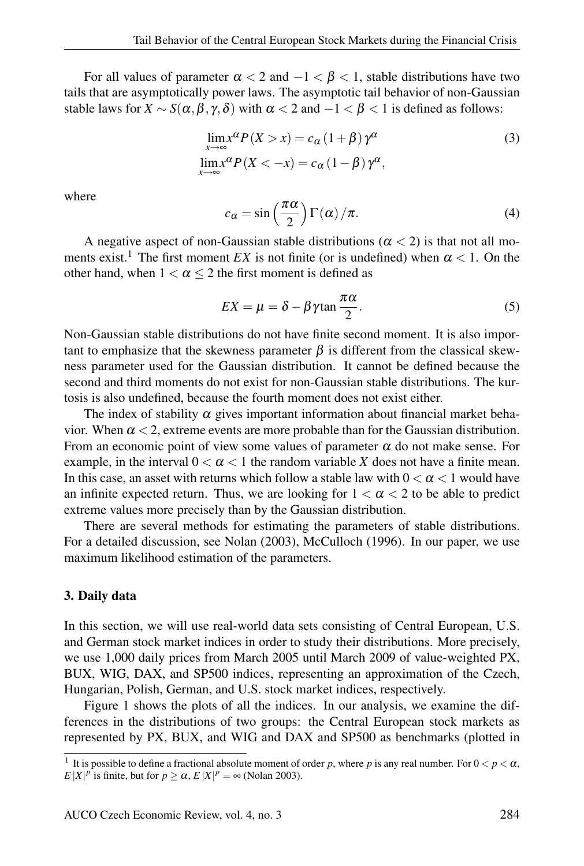For all values of parameter  $\alpha < 2$  and  $-1 < \beta < 1$ , stable distributions have two tails that are asymptotically power laws. The asymptotic tail behavior of non-Gaussian stable laws for  $X \sim S(\alpha, \beta, \gamma, \delta)$  with  $\alpha < 2$  and  $-1 < \beta < 1$  is defined as follows:

$$
\lim_{x \to \infty} x^{\alpha} P(X > x) = c_{\alpha} (1 + \beta) \gamma^{\alpha}
$$
  
\n
$$
\lim_{x \to \infty} x^{\alpha} P(X < -x) = c_{\alpha} (1 - \beta) \gamma^{\alpha},
$$
\n(3)

where

$$
c_{\alpha} = \sin\left(\frac{\pi\alpha}{2}\right)\Gamma(\alpha)/\pi.
$$
 (4)

A negative aspect of non-Gaussian stable distributions ( $\alpha$  < 2) is that not all moments exist.<sup>1</sup> The first moment *EX* is not finite (or is undefined) when  $\alpha < 1$ . On the other hand, when  $1 < \alpha \leq 2$  the first moment is defined as

$$
EX = \mu = \delta - \beta \gamma \tan \frac{\pi \alpha}{2}.
$$
 (5)

Non-Gaussian stable distributions do not have finite second moment. It is also important to emphasize that the skewness parameter  $\beta$  is different from the classical skewness parameter used for the Gaussian distribution. It cannot be defined because the second and third moments do not exist for non-Gaussian stable distributions. The kurtosis is also undefined, because the fourth moment does not exist either.

The index of stability  $\alpha$  gives important information about financial market behavior. When  $\alpha$  < 2, extreme events are more probable than for the Gaussian distribution. From an economic point of view some values of parameter  $\alpha$  do not make sense. For example, in the interval  $0 < \alpha < 1$  the random variable X does not have a finite mean. In this case, an asset with returns which follow a stable law with  $0 < \alpha < 1$  would have an infinite expected return. Thus, we are looking for  $1 < \alpha < 2$  to be able to predict extreme values more precisely than by the Gaussian distribution.

There are several methods for estimating the parameters of stable distributions. For a detailed discussion, see Nolan (2003), McCulloch (1996). In our paper, we use maximum likelihood estimation of the parameters.

#### 3. Daily data

In this section, we will use real-world data sets consisting of Central European, U.S. and German stock market indices in order to study their distributions. More precisely, we use 1,000 daily prices from March 2005 until March 2009 of value-weighted PX, BUX, WIG, DAX, and SP500 indices, representing an approximation of the Czech, Hungarian, Polish, German, and U.S. stock market indices, respectively.

Figure 1 shows the plots of all the indices. In our analysis, we examine the differences in the distributions of two groups: the Central European stock markets as represented by PX, BUX, and WIG and DAX and SP500 as benchmarks (plotted in

<sup>&</sup>lt;sup>1</sup> It is possible to define a fractional absolute moment of order *p*, where *p* is any real number. For  $0 < p < \alpha$ , *E* |*X*|<sup>*p*</sup> is finite, but for  $p \ge \alpha$ , *E*|*X*|<sup>*p*</sup> =  $\infty$  (Nolan 2003).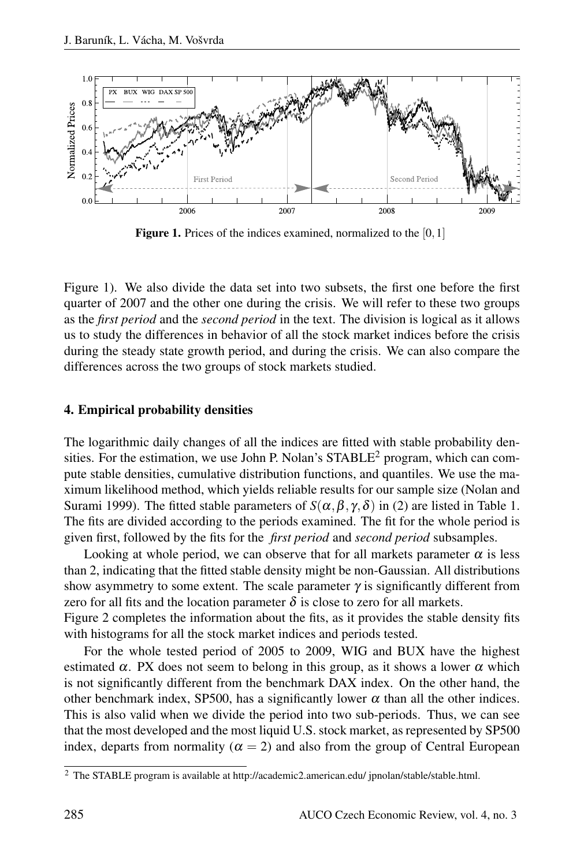

Figure 1. Prices of the indices examined, normalized to the [0,1]

Figure 1). We also divide the data set into two subsets, the first one before the first quarter of 2007 and the other one during the crisis. We will refer to these two groups as the *first period* and the *second period* in the text. The division is logical as it allows us to study the differences in behavior of all the stock market indices before the crisis during the steady state growth period, and during the crisis. We can also compare the differences across the two groups of stock markets studied.

#### 4. Empirical probability densities

The logarithmic daily changes of all the indices are fitted with stable probability densities. For the estimation, we use John P. Nolan's STABLE<sup>2</sup> program, which can compute stable densities, cumulative distribution functions, and quantiles. We use the maximum likelihood method, which yields reliable results for our sample size (Nolan and Surami 1999). The fitted stable parameters of  $S(\alpha, \beta, \gamma, \delta)$  in (2) are listed in Table 1. The fits are divided according to the periods examined. The fit for the whole period is given first, followed by the fits for the *first period* and *second period* subsamples.

Looking at whole period, we can observe that for all markets parameter  $\alpha$  is less than 2, indicating that the fitted stable density might be non-Gaussian. All distributions show asymmetry to some extent. The scale parameter  $\gamma$  is significantly different from zero for all fits and the location parameter  $\delta$  is close to zero for all markets.

Figure 2 completes the information about the fits, as it provides the stable density fits with histograms for all the stock market indices and periods tested.

For the whole tested period of 2005 to 2009, WIG and BUX have the highest estimated  $\alpha$ . PX does not seem to belong in this group, as it shows a lower  $\alpha$  which is not significantly different from the benchmark DAX index. On the other hand, the other benchmark index, SP500, has a significantly lower  $\alpha$  than all the other indices. This is also valid when we divide the period into two sub-periods. Thus, we can see that the most developed and the most liquid U.S. stock market, as represented by SP500 index, departs from normality ( $\alpha = 2$ ) and also from the group of Central European

<sup>2</sup> The STABLE program is available at http://academic2.american.edu/ jpnolan/stable/stable.html.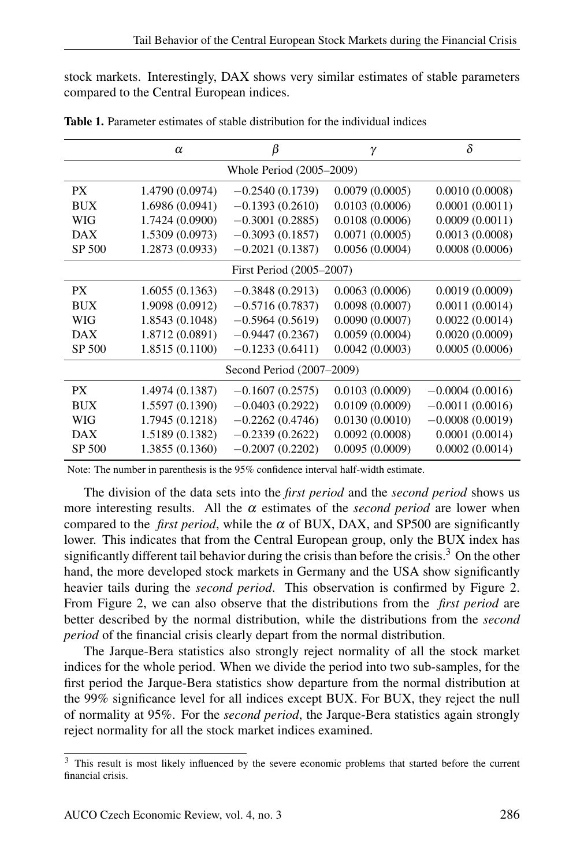stock markets. Interestingly, DAX shows very similar estimates of stable parameters compared to the Central European indices.

|                           | $\alpha$        | β                 | γ              | $\delta$          |  |  |  |  |
|---------------------------|-----------------|-------------------|----------------|-------------------|--|--|--|--|
| Whole Period (2005-2009)  |                 |                   |                |                   |  |  |  |  |
| <b>PX</b>                 | 1.4790 (0.0974) | $-0.2540(0.1739)$ | 0.0079(0.0005) | 0.0010(0.0008)    |  |  |  |  |
| <b>BUX</b>                | 1.6986(0.0941)  | $-0.1393(0.2610)$ | 0.0103(0.0006) | 0.0001(0.0011)    |  |  |  |  |
| WIG                       | 1.7424 (0.0900) | $-0.3001(0.2885)$ | 0.0108(0.0006) | 0.0009(0.0011)    |  |  |  |  |
| <b>DAX</b>                | 1.5309 (0.0973) | $-0.3093(0.1857)$ | 0.0071(0.0005) | 0.0013(0.0008)    |  |  |  |  |
| SP 500                    | 1.2873 (0.0933) | $-0.2021(0.1387)$ | 0.0056(0.0004) | 0.0008(0.0006)    |  |  |  |  |
| First Period (2005-2007)  |                 |                   |                |                   |  |  |  |  |
| PX.                       | 1.6055(0.1363)  | $-0.3848(0.2913)$ | 0.0063(0.0006) | 0.0019(0.0009)    |  |  |  |  |
| <b>BUX</b>                | 1.9098 (0.0912) | $-0.5716(0.7837)$ | 0.0098(0.0007) | 0.0011(0.0014)    |  |  |  |  |
| WIG                       | 1.8543 (0.1048) | $-0.5964(0.5619)$ | 0.0090(0.0007) | 0.0022(0.0014)    |  |  |  |  |
| DAX                       | 1.8712 (0.0891) | $-0.9447(0.2367)$ | 0.0059(0.0004) | 0.0020(0.0009)    |  |  |  |  |
| SP 500                    | 1.8515 (0.1100) | $-0.1233(0.6411)$ | 0.0042(0.0003) | 0.0005(0.0006)    |  |  |  |  |
| Second Period (2007–2009) |                 |                   |                |                   |  |  |  |  |
| PX                        | 1.4974 (0.1387) | $-0.1607(0.2575)$ | 0.0103(0.0009) | $-0.0004(0.0016)$ |  |  |  |  |
| <b>BUX</b>                | 1.5597 (0.1390) | $-0.0403(0.2922)$ | 0.0109(0.0009) | $-0.0011(0.0016)$ |  |  |  |  |
| WIG                       | 1.7945 (0.1218) | $-0.2262(0.4746)$ | 0.0130(0.0010) | $-0.0008(0.0019)$ |  |  |  |  |
| <b>DAX</b>                | 1.5189 (0.1382) | $-0.2339(0.2622)$ | 0.0092(0.0008) | 0.0001(0.0014)    |  |  |  |  |
| SP 500                    | 1.3855 (0.1360) | $-0.2007(0.2202)$ | 0.0095(0.0009) | 0.0002(0.0014)    |  |  |  |  |

Table 1. Parameter estimates of stable distribution for the individual indices

Note: The number in parenthesis is the 95% confidence interval half-width estimate.

The division of the data sets into the *first period* and the *second period* shows us more interesting results. All the  $\alpha$  estimates of the *second period* are lower when compared to the *first period*, while the  $\alpha$  of BUX, DAX, and SP500 are significantly lower. This indicates that from the Central European group, only the BUX index has significantly different tail behavior during the crisis than before the crisis.<sup>3</sup> On the other hand, the more developed stock markets in Germany and the USA show significantly heavier tails during the *second period*. This observation is confirmed by Figure 2. From Figure 2, we can also observe that the distributions from the *first period* are better described by the normal distribution, while the distributions from the *second period* of the financial crisis clearly depart from the normal distribution.

The Jarque-Bera statistics also strongly reject normality of all the stock market indices for the whole period. When we divide the period into two sub-samples, for the first period the Jarque-Bera statistics show departure from the normal distribution at the 99% significance level for all indices except BUX. For BUX, they reject the null of normality at 95%. For the *second period*, the Jarque-Bera statistics again strongly reject normality for all the stock market indices examined.

<sup>&</sup>lt;sup>3</sup> This result is most likely influenced by the severe economic problems that started before the current financial crisis.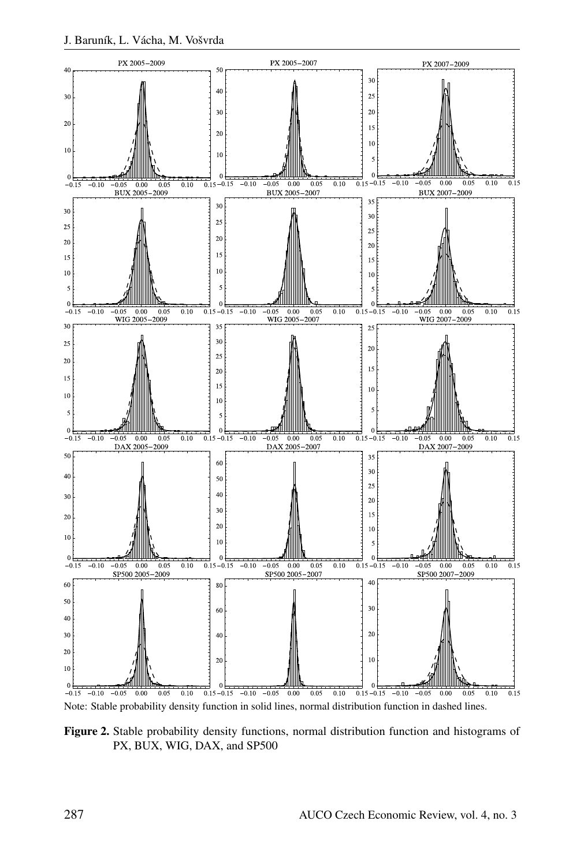

Figure 2. Stable probability density functions, normal distribution function and histograms of PX, BUX, WIG, DAX, and SP500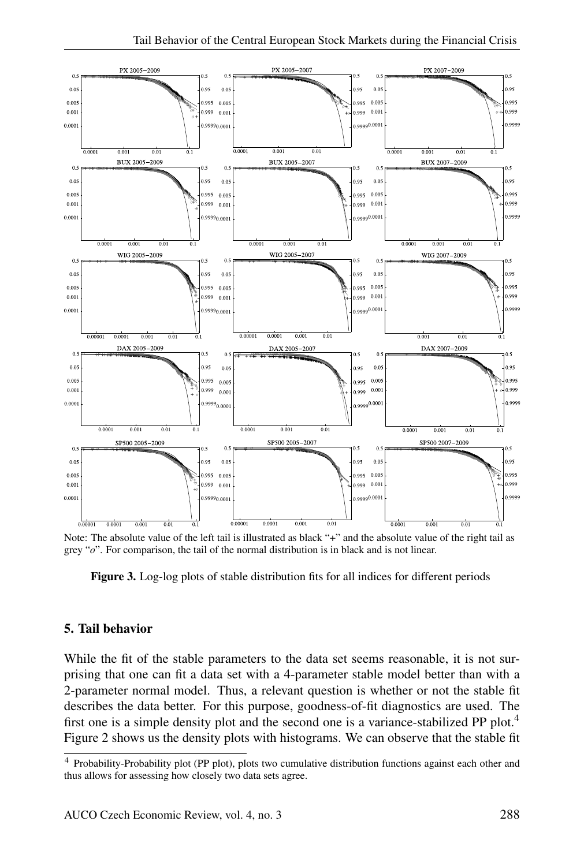

Note: The absolute value of the left tail is illustrated as black "+" and the absolute value of the right tail as grey "*o*". For comparison, the tail of the normal distribution is in black and is not linear.

Figure 3. Log-log plots of stable distribution fits for all indices for different periods

### 5. Tail behavior

While the fit of the stable parameters to the data set seems reasonable, it is not surprising that one can fit a data set with a 4-parameter stable model better than with a 2-parameter normal model. Thus, a relevant question is whether or not the stable fit describes the data better. For this purpose, goodness-of-fit diagnostics are used. The first one is a simple density plot and the second one is a variance-stabilized PP plot.<sup>4</sup> Figure 2 shows us the density plots with histograms. We can observe that the stable fit

<sup>4</sup> Probability-Probability plot (PP plot), plots two cumulative distribution functions against each other and thus allows for assessing how closely two data sets agree.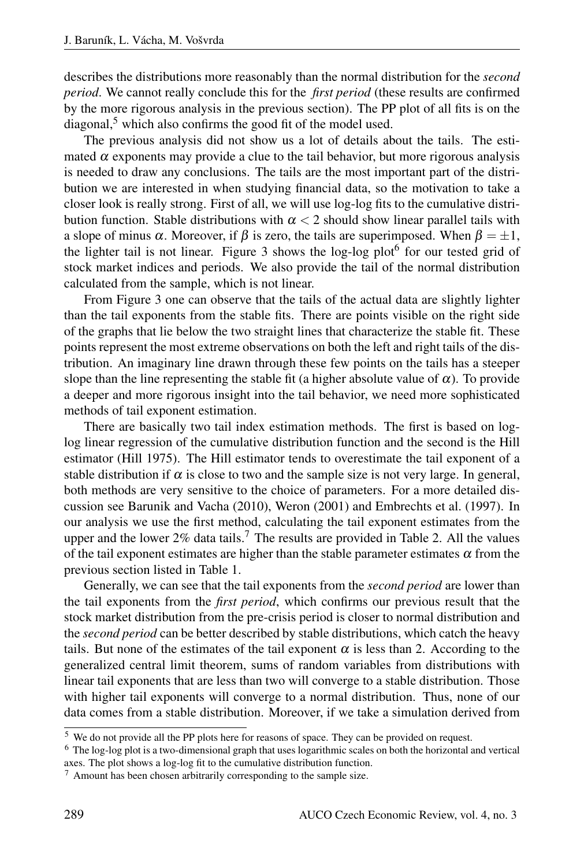describes the distributions more reasonably than the normal distribution for the *second period*. We cannot really conclude this for the *first period* (these results are confirmed by the more rigorous analysis in the previous section). The PP plot of all fits is on the  $diagonal$ <sup>5</sup>, which also confirms the good fit of the model used.

The previous analysis did not show us a lot of details about the tails. The estimated  $\alpha$  exponents may provide a clue to the tail behavior, but more rigorous analysis is needed to draw any conclusions. The tails are the most important part of the distribution we are interested in when studying financial data, so the motivation to take a closer look is really strong. First of all, we will use log-log fits to the cumulative distribution function. Stable distributions with  $\alpha < 2$  should show linear parallel tails with a slope of minus  $\alpha$ . Moreover, if  $\beta$  is zero, the tails are superimposed. When  $\beta = \pm 1$ , the lighter tail is not linear. Figure 3 shows the  $log-log plot<sup>6</sup>$  for our tested grid of stock market indices and periods. We also provide the tail of the normal distribution calculated from the sample, which is not linear.

From Figure 3 one can observe that the tails of the actual data are slightly lighter than the tail exponents from the stable fits. There are points visible on the right side of the graphs that lie below the two straight lines that characterize the stable fit. These points represent the most extreme observations on both the left and right tails of the distribution. An imaginary line drawn through these few points on the tails has a steeper slope than the line representing the stable fit (a higher absolute value of  $\alpha$ ). To provide a deeper and more rigorous insight into the tail behavior, we need more sophisticated methods of tail exponent estimation.

There are basically two tail index estimation methods. The first is based on loglog linear regression of the cumulative distribution function and the second is the Hill estimator (Hill 1975). The Hill estimator tends to overestimate the tail exponent of a stable distribution if  $\alpha$  is close to two and the sample size is not very large. In general, both methods are very sensitive to the choice of parameters. For a more detailed discussion see Barunik and Vacha (2010), Weron (2001) and Embrechts et al. (1997). In our analysis we use the first method, calculating the tail exponent estimates from the upper and the lower 2% data tails.<sup>7</sup> The results are provided in Table 2. All the values of the tail exponent estimates are higher than the stable parameter estimates  $\alpha$  from the previous section listed in Table 1.

Generally, we can see that the tail exponents from the *second period* are lower than the tail exponents from the *first period*, which confirms our previous result that the stock market distribution from the pre-crisis period is closer to normal distribution and the *second period* can be better described by stable distributions, which catch the heavy tails. But none of the estimates of the tail exponent  $\alpha$  is less than 2. According to the generalized central limit theorem, sums of random variables from distributions with linear tail exponents that are less than two will converge to a stable distribution. Those with higher tail exponents will converge to a normal distribution. Thus, none of our data comes from a stable distribution. Moreover, if we take a simulation derived from

<sup>5</sup> We do not provide all the PP plots here for reasons of space. They can be provided on request.

<sup>6</sup> The log-log plot is a two-dimensional graph that uses logarithmic scales on both the horizontal and vertical axes. The plot shows a log-log fit to the cumulative distribution function.

<sup>7</sup> Amount has been chosen arbitrarily corresponding to the sample size.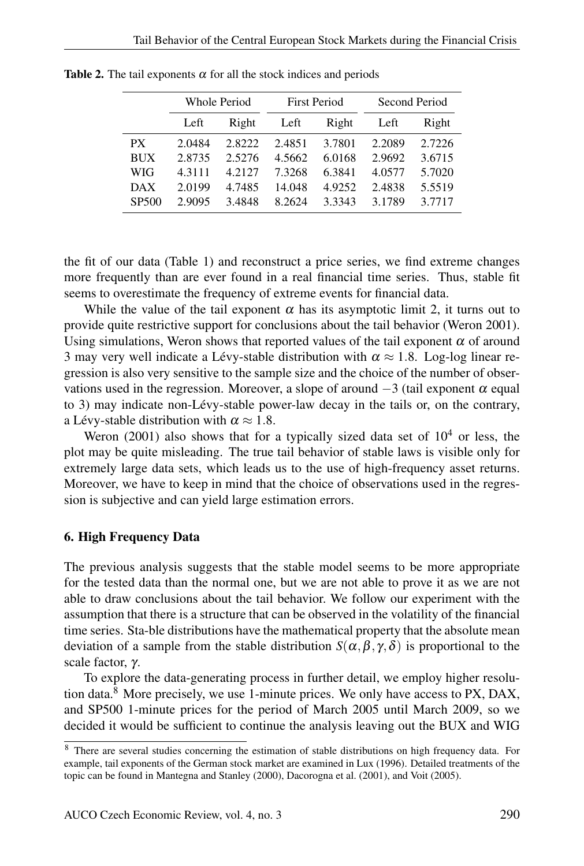|                   | <b>Whole Period</b> |        | <b>First Period</b> |        | Second Period |        |
|-------------------|---------------------|--------|---------------------|--------|---------------|--------|
|                   | Left                | Right  | Left                | Right  | Left          | Right  |
| PX.               | 2.0484              | 2.8222 | 2.4851              | 3.7801 | 2.2089        | 2.7226 |
| <b>BUX</b>        | 2.8735              | 2.5276 | 4.5662              | 6.0168 | 2.9692        | 3.6715 |
| WIG               | 4.3111              | 4.2127 | 7.3268              | 6.3841 | 4.0577        | 5.7020 |
| $\overline{DAX}$  | 2.0199              | 4.7485 | 14.048              | 4.9252 | 2.4838        | 5.5519 |
| SP <sub>500</sub> | 2.9095              | 3.4848 | 8.2624              | 3.3343 | 3.1789        | 3.7717 |

Table 2. The tail exponents  $\alpha$  for all the stock indices and periods

the fit of our data (Table 1) and reconstruct a price series, we find extreme changes more frequently than are ever found in a real financial time series. Thus, stable fit seems to overestimate the frequency of extreme events for financial data.

While the value of the tail exponent  $\alpha$  has its asymptotic limit 2, it turns out to provide quite restrictive support for conclusions about the tail behavior (Weron 2001). Using simulations, Weron shows that reported values of the tail exponent  $\alpha$  of around 3 may very well indicate a Lévy-stable distribution with  $\alpha \approx 1.8$ . Log-log linear regression is also very sensitive to the sample size and the choice of the number of observations used in the regression. Moreover, a slope of around  $-3$  (tail exponent  $\alpha$  equal to 3) may indicate non-Lévy-stable power-law decay in the tails or, on the contrary, a Lévy-stable distribution with  $\alpha \approx 1.8$ .

Weron (2001) also shows that for a typically sized data set of  $10<sup>4</sup>$  or less, the plot may be quite misleading. The true tail behavior of stable laws is visible only for extremely large data sets, which leads us to the use of high-frequency asset returns. Moreover, we have to keep in mind that the choice of observations used in the regression is subjective and can yield large estimation errors.

#### 6. High Frequency Data

The previous analysis suggests that the stable model seems to be more appropriate for the tested data than the normal one, but we are not able to prove it as we are not able to draw conclusions about the tail behavior. We follow our experiment with the assumption that there is a structure that can be observed in the volatility of the financial time series. Sta-ble distributions have the mathematical property that the absolute mean deviation of a sample from the stable distribution  $S(\alpha, \beta, \gamma, \delta)$  is proportional to the scale factor, γ.

To explore the data-generating process in further detail, we employ higher resolution data. $8$  More precisely, we use 1-minute prices. We only have access to PX, DAX, and SP500 1-minute prices for the period of March 2005 until March 2009, so we decided it would be sufficient to continue the analysis leaving out the BUX and WIG

<sup>&</sup>lt;sup>8</sup> There are several studies concerning the estimation of stable distributions on high frequency data. For example, tail exponents of the German stock market are examined in Lux (1996). Detailed treatments of the topic can be found in Mantegna and Stanley (2000), Dacorogna et al. (2001), and Voit (2005).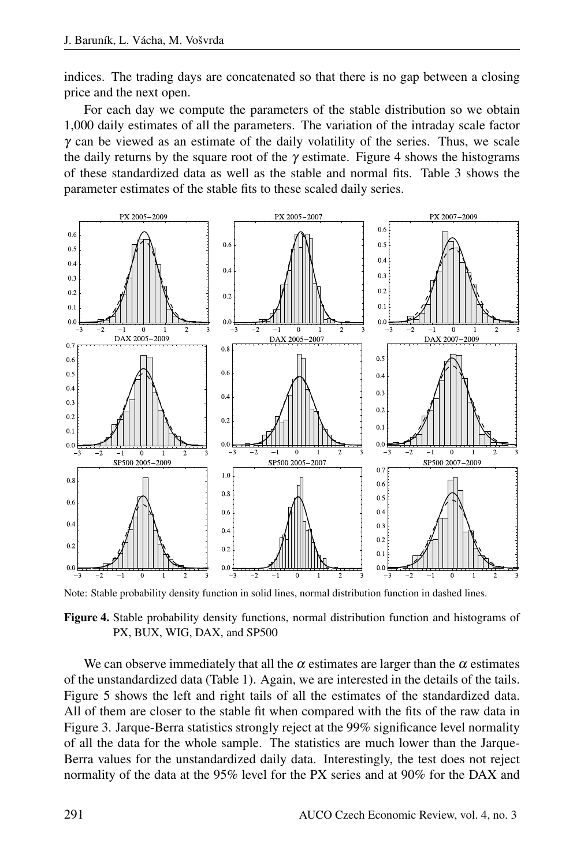indices. The trading days are concatenated so that there is no gap between a closing price and the next open.

For each day we compute the parameters of the stable distribution so we obtain 1,000 daily estimates of all the parameters. The variation of the intraday scale factor  $\gamma$  can be viewed as an estimate of the daily volatility of the series. Thus, we scale the daily returns by the square root of the  $\gamma$  estimate. Figure 4 shows the histograms of these standardized data as well as the stable and normal fits. Table 3 shows the parameter estimates of the stable fits to these scaled daily series.



Note: Stable probability density function in solid lines, normal distribution function in dashed lines.

Figure 4. Stable probability density functions, normal distribution function and histograms of PX, BUX, WIG, DAX, and SP500

We can observe immediately that all the  $\alpha$  estimates are larger than the  $\alpha$  estimates of the unstandardized data (Table 1). Again, we are interested in the details of the tails. Figure 5 shows the left and right tails of all the estimates of the standardized data. All of them are closer to the stable fit when compared with the fits of the raw data in Figure 3. Jarque-Berra statistics strongly reject at the 99% significance level normality of all the data for the whole sample. The statistics are much lower than the Jarque-Berra values for the unstandardized daily data. Interestingly, the test does not reject normality of the data at the 95% level for the PX series and at 90% for the DAX and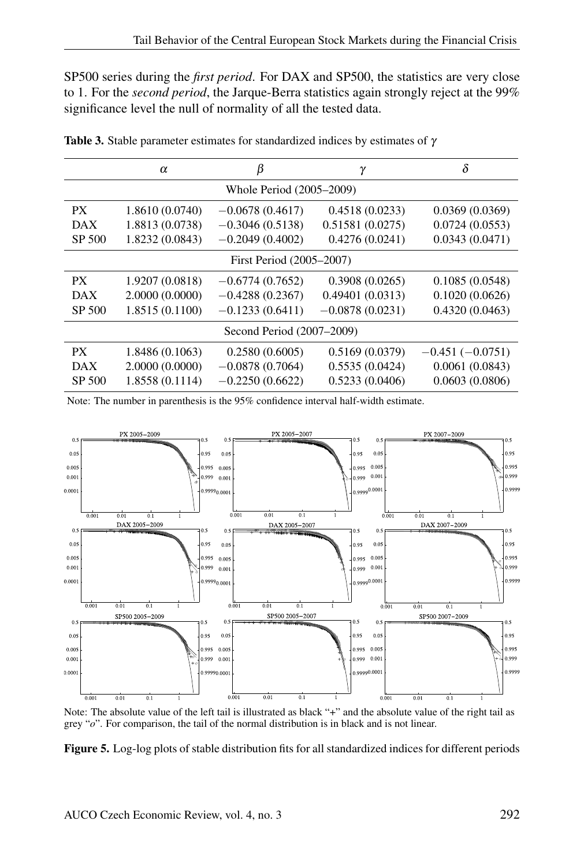SP500 series during the *first period*. For DAX and SP500, the statistics are very close to 1. For the *second period*, the Jarque-Berra statistics again strongly reject at the 99% significance level the null of normality of all the tested data.

|                           | $\alpha$        | β                 | γ                 | δ                 |  |  |  |
|---------------------------|-----------------|-------------------|-------------------|-------------------|--|--|--|
| Whole Period (2005–2009)  |                 |                   |                   |                   |  |  |  |
| PX.                       | 1.8610 (0.0740) | $-0.0678(0.4617)$ | 0.4518(0.0233)    | 0.0369(0.0369)    |  |  |  |
| DAX                       | 1.8813 (0.0738) | $-0.3046(0.5138)$ | 0.51581(0.0275)   | 0.0724(0.0553)    |  |  |  |
| SP 500                    | 1.8232 (0.0843) | $-0.2049(0.4002)$ | 0.4276(0.0241)    | 0.0343(0.0471)    |  |  |  |
| First Period (2005–2007)  |                 |                   |                   |                   |  |  |  |
| PX.                       | 1.9207 (0.0818) | $-0.6774(0.7652)$ | 0.3908(0.0265)    | 0.1085(0.0548)    |  |  |  |
| <b>DAX</b>                | 2.0000(0.0000)  | $-0.4288(0.2367)$ | 0.49401(0.0313)   | 0.1020(0.0626)    |  |  |  |
| SP 500                    | 1.8515 (0.1100) | $-0.1233(0.6411)$ | $-0.0878(0.0231)$ | 0.4320(0.0463)    |  |  |  |
| Second Period (2007–2009) |                 |                   |                   |                   |  |  |  |
| <b>PX</b>                 | 1.8486 (0.1063) | 0.2580(0.6005)    | 0.5169(0.0379)    | $-0.451(-0.0751)$ |  |  |  |
| DAX                       | 2.0000(0.0000)  | $-0.0878(0.7064)$ | 0.5535(0.0424)    | 0.0061(0.0843)    |  |  |  |
| SP 500                    | 1.8558 (0.1114) | $-0.2250(0.6622)$ | 0.5233(0.0406)    | 0.0603(0.0806)    |  |  |  |

Table 3. Stable parameter estimates for standardized indices by estimates of  $\gamma$ 

Note: The number in parenthesis is the 95% confidence interval half-width estimate.



Note: The absolute value of the left tail is illustrated as black "+" and the absolute value of the right tail as grey "*o*". For comparison, the tail of the normal distribution is in black and is not linear.

Figure 5. Log-log plots of stable distribution fits for all standardized indices for different periods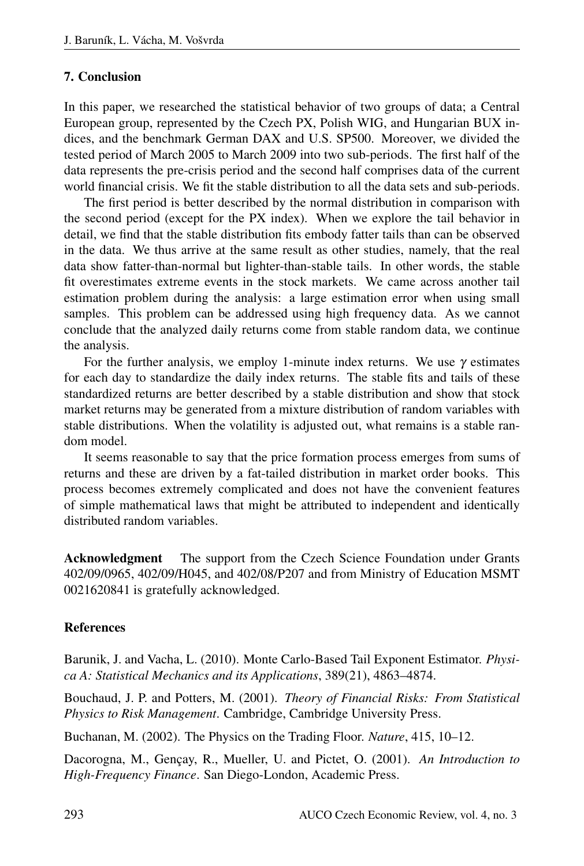## 7. Conclusion

In this paper, we researched the statistical behavior of two groups of data; a Central European group, represented by the Czech PX, Polish WIG, and Hungarian BUX indices, and the benchmark German DAX and U.S. SP500. Moreover, we divided the tested period of March 2005 to March 2009 into two sub-periods. The first half of the data represents the pre-crisis period and the second half comprises data of the current world financial crisis. We fit the stable distribution to all the data sets and sub-periods.

The first period is better described by the normal distribution in comparison with the second period (except for the PX index). When we explore the tail behavior in detail, we find that the stable distribution fits embody fatter tails than can be observed in the data. We thus arrive at the same result as other studies, namely, that the real data show fatter-than-normal but lighter-than-stable tails. In other words, the stable fit overestimates extreme events in the stock markets. We came across another tail estimation problem during the analysis: a large estimation error when using small samples. This problem can be addressed using high frequency data. As we cannot conclude that the analyzed daily returns come from stable random data, we continue the analysis.

For the further analysis, we employ 1-minute index returns. We use  $\gamma$  estimates for each day to standardize the daily index returns. The stable fits and tails of these standardized returns are better described by a stable distribution and show that stock market returns may be generated from a mixture distribution of random variables with stable distributions. When the volatility is adjusted out, what remains is a stable random model.

It seems reasonable to say that the price formation process emerges from sums of returns and these are driven by a fat-tailed distribution in market order books. This process becomes extremely complicated and does not have the convenient features of simple mathematical laws that might be attributed to independent and identically distributed random variables.

Acknowledgment The support from the Czech Science Foundation under Grants 402/09/0965, 402/09/H045, and 402/08/P207 and from Ministry of Education MSMT 0021620841 is gratefully acknowledged.

## References

Barunik, J. and Vacha, L. (2010). Monte Carlo-Based Tail Exponent Estimator. *Physica A: Statistical Mechanics and its Applications*, 389(21), 4863–4874.

Bouchaud, J. P. and Potters, M. (2001). *Theory of Financial Risks: From Statistical Physics to Risk Management*. Cambridge, Cambridge University Press.

Buchanan, M. (2002). The Physics on the Trading Floor. *Nature*, 415, 10–12.

Dacorogna, M., Gençay, R., Mueller, U. and Pictet, O. (2001). An Introduction to *High-Frequency Finance*. San Diego-London, Academic Press.